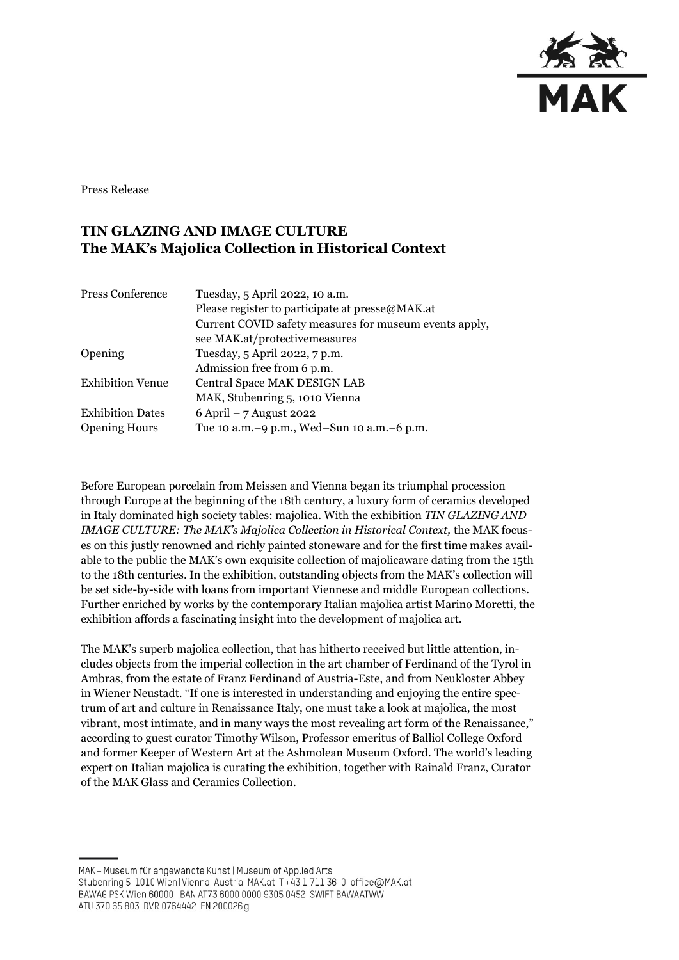

Press Release

## **TIN GLAZING AND IMAGE CULTURE The MAK's Majolica Collection in Historical Context**

| Tuesday, 5 April 2022, 10 a.m.                         |
|--------------------------------------------------------|
| Please register to participate at presse@MAK.at        |
| Current COVID safety measures for museum events apply, |
| see MAK.at/protectivemeasures                          |
| Tuesday, 5 April 2022, 7 p.m.                          |
| Admission free from 6 p.m.                             |
| Central Space MAK DESIGN LAB                           |
| MAK, Stubenring 5, 1010 Vienna                         |
| $6$ April – 7 August 2022                              |
| Tue 10 a.m. -9 p.m., Wed-Sun 10 a.m. -6 p.m.           |
|                                                        |

Before European porcelain from Meissen and Vienna began its triumphal procession through Europe at the beginning of the 18th century, a luxury form of ceramics developed in Italy dominated high society tables: majolica. With the exhibition *TIN GLAZING AND IMAGE CULTURE: The MAK's Majolica Collection in Historical Context,* the MAK focuses on this justly renowned and richly painted stoneware and for the first time makes available to the public the MAK's own exquisite collection of majolicaware dating from the 15th to the 18th centuries. In the exhibition, outstanding objects from the MAK's collection will be set side-by-side with loans from important Viennese and middle European collections. Further enriched by works by the contemporary Italian majolica artist Marino Moretti, the exhibition affords a fascinating insight into the development of majolica art.

The MAK's superb majolica collection, that has hitherto received but little attention, includes objects from the imperial collection in the art chamber of Ferdinand of the Tyrol in Ambras, from the estate of Franz Ferdinand of Austria-Este, and from Neukloster Abbey in Wiener Neustadt. "If one is interested in understanding and enjoying the entire spectrum of art and culture in Renaissance Italy, one must take a look at majolica, the most vibrant, most intimate, and in many ways the most revealing art form of the Renaissance," according to guest curator Timothy Wilson, Professor emeritus of Balliol College Oxford and former Keeper of Western Art at the Ashmolean Museum Oxford. The world's leading expert on Italian majolica is curating the exhibition, together with Rainald Franz, Curator of the MAK Glass and Ceramics Collection.

MAK - Museum für angewandte Kunst | Museum of Applied Arts Stubenring 5 1010 Wien | Vienna Austria MAK.at T+43 1 711 36-0 office@MAK.at BAWAG PSK Wien 60000 IBAN AT73 6000 0000 9305 0452 SWIFT BAWAATWW ATU 370 65 803 DVR 0764442 FN 200026 g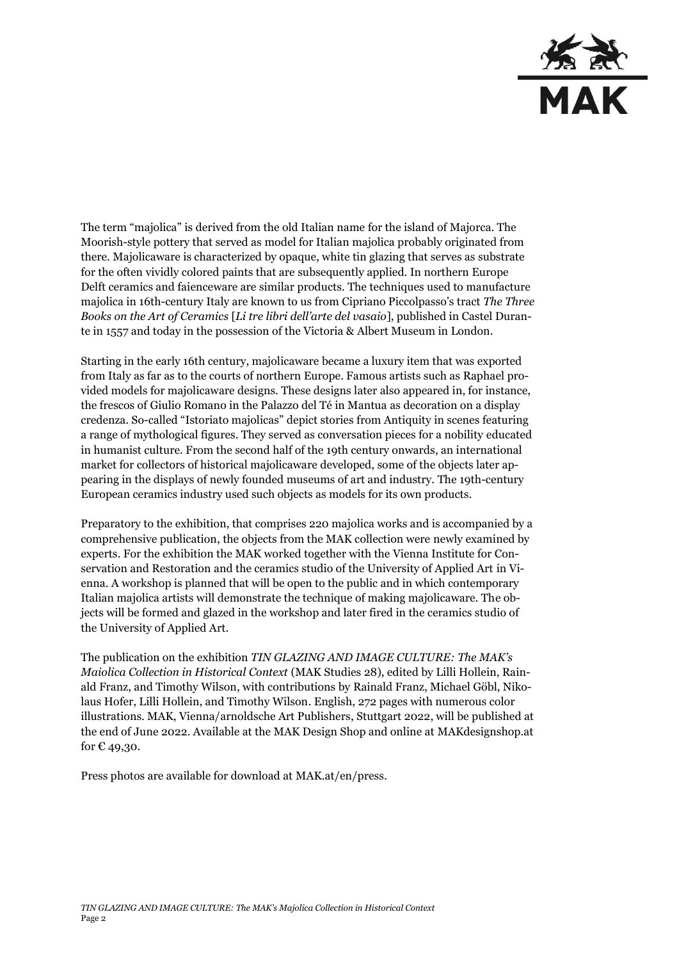

The term "majolica" is derived from the old Italian name for the island of Majorca. The Moorish-style pottery that served as model for Italian majolica probably originated from there. Majolicaware is characterized by opaque, white tin glazing that serves as substrate for the often vividly colored paints that are subsequently applied. In northern Europe Delft ceramics and faienceware are similar products. The techniques used to manufacture majolica in 16th-century Italy are known to us from Cipriano Piccolpasso's tract *The Three Books on the Art of Ceramics* [*Li tre libri dell'arte del vasaio*], published in Castel Durante in 1557 and today in the possession of the Victoria & Albert Museum in London.

Starting in the early 16th century, majolicaware became a luxury item that was exported from Italy as far as to the courts of northern Europe. Famous artists such as Raphael provided models for majolicaware designs. These designs later also appeared in, for instance, the frescos of Giulio Romano in the Palazzo del Té in Mantua as decoration on a display credenza. So-called "Istoriato majolicas" depict stories from Antiquity in scenes featuring a range of mythological figures. They served as conversation pieces for a nobility educated in humanist culture. From the second half of the 19th century onwards, an international market for collectors of historical majolicaware developed, some of the objects later appearing in the displays of newly founded museums of art and industry. The 19th-century European ceramics industry used such objects as models for its own products.

Preparatory to the exhibition, that comprises 220 majolica works and is accompanied by a comprehensive publication, the objects from the MAK collection were newly examined by experts. For the exhibition the MAK worked together with the Vienna Institute for Conservation and Restoration and the ceramics studio of the University of Applied Art in Vienna. A workshop is planned that will be open to the public and in which contemporary Italian majolica artists will demonstrate the technique of making majolicaware. The objects will be formed and glazed in the workshop and later fired in the ceramics studio of the University of Applied Art.

The publication on the exhibition *TIN GLAZING AND IMAGE CULTURE: The MAK's Maiolica Collection in Historical Context* (MAK Studies 28), edited by Lilli Hollein, Rainald Franz, and Timothy Wilson, with contributions by Rainald Franz, Michael Göbl, Nikolaus Hofer, Lilli Hollein, and Timothy Wilson. English, 272 pages with numerous color illustrations. MAK, Vienna/arnoldsche Art Publishers, Stuttgart 2022, will be published at the end of June 2022. Available at the MAK Design Shop and online at [MAKdesignshop.at](http://makdesignshop.at/) for  $\epsilon$  49,30.

Press photos are available for download at MAK.at/en/press.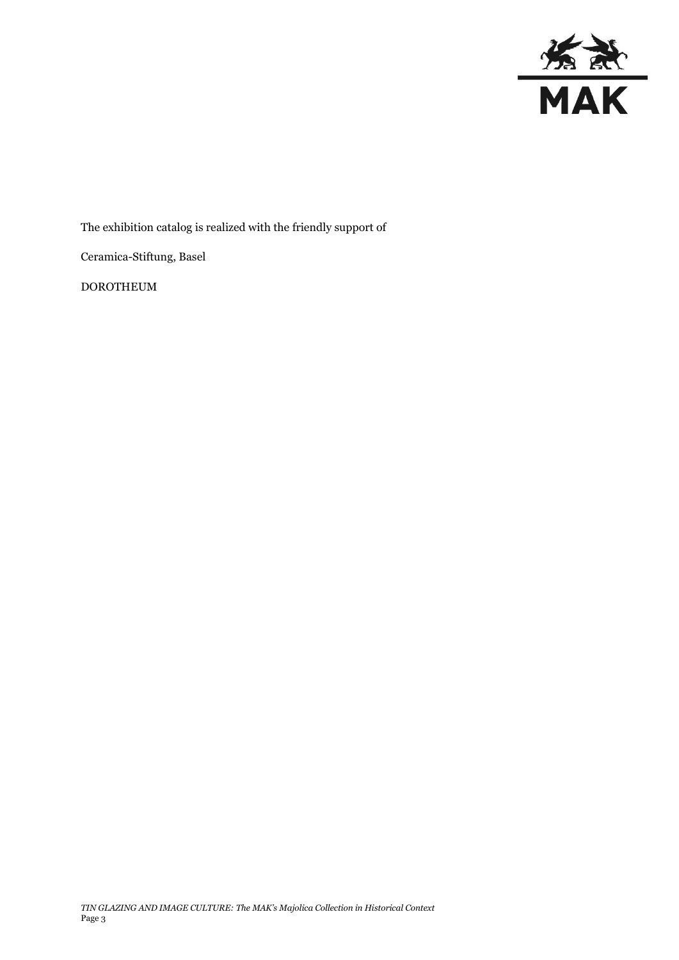

The exhibition catalog is realized with the friendly support of

Ceramica-Stiftung, Basel

DOROTHEUM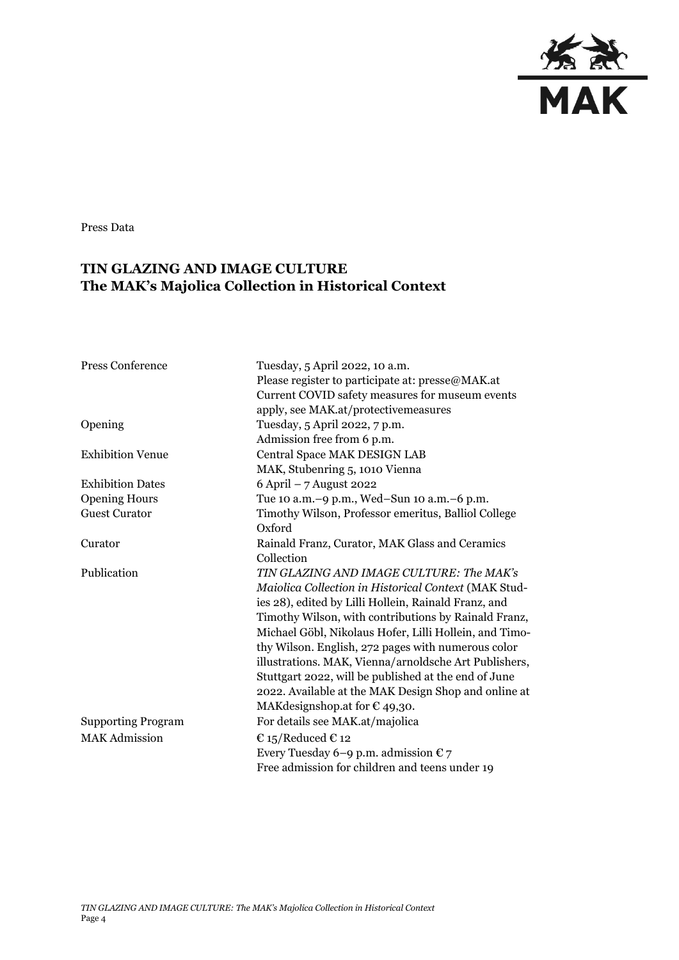

Press Data

## **TIN GLAZING AND IMAGE CULTURE The MAK's Majolica Collection in Historical Context**

| <b>Press Conference</b>   | Tuesday, 5 April 2022, 10 a.m.                                |
|---------------------------|---------------------------------------------------------------|
|                           | Please register to participate at: presse@MAK.at              |
|                           | Current COVID safety measures for museum events               |
|                           | apply, see MAK.at/protectivemeasures                          |
| Opening                   | Tuesday, 5 April 2022, 7 p.m.                                 |
|                           | Admission free from 6 p.m.                                    |
| <b>Exhibition Venue</b>   | Central Space MAK DESIGN LAB                                  |
|                           | MAK, Stubenring 5, 1010 Vienna                                |
| <b>Exhibition Dates</b>   | $6$ April $-7$ August 2022                                    |
| <b>Opening Hours</b>      | Tue 10 a.m. -9 p.m., Wed-Sun 10 a.m. -6 p.m.                  |
| <b>Guest Curator</b>      | Timothy Wilson, Professor emeritus, Balliol College<br>Oxford |
| Curator                   | Rainald Franz, Curator, MAK Glass and Ceramics                |
|                           | Collection                                                    |
| Publication               | TIN GLAZING AND IMAGE CULTURE: The MAK's                      |
|                           | Maiolica Collection in Historical Context (MAK Stud-          |
|                           | ies 28), edited by Lilli Hollein, Rainald Franz, and          |
|                           | Timothy Wilson, with contributions by Rainald Franz,          |
|                           | Michael Göbl, Nikolaus Hofer, Lilli Hollein, and Timo-        |
|                           | thy Wilson. English, 272 pages with numerous color            |
|                           | illustrations. MAK, Vienna/arnoldsche Art Publishers,         |
|                           | Stuttgart 2022, will be published at the end of June          |
|                           | 2022. Available at the MAK Design Shop and online at          |
|                           | MAK designshop at for $\epsilon$ 49,30.                       |
| <b>Supporting Program</b> | For details see MAK.at/majolica                               |
| <b>MAK Admission</b>      | € 15/Reduced € 12                                             |
|                           | Every Tuesday 6–9 p.m. admission $\epsilon$ 7                 |
|                           | Free admission for children and teens under 19                |
|                           |                                                               |